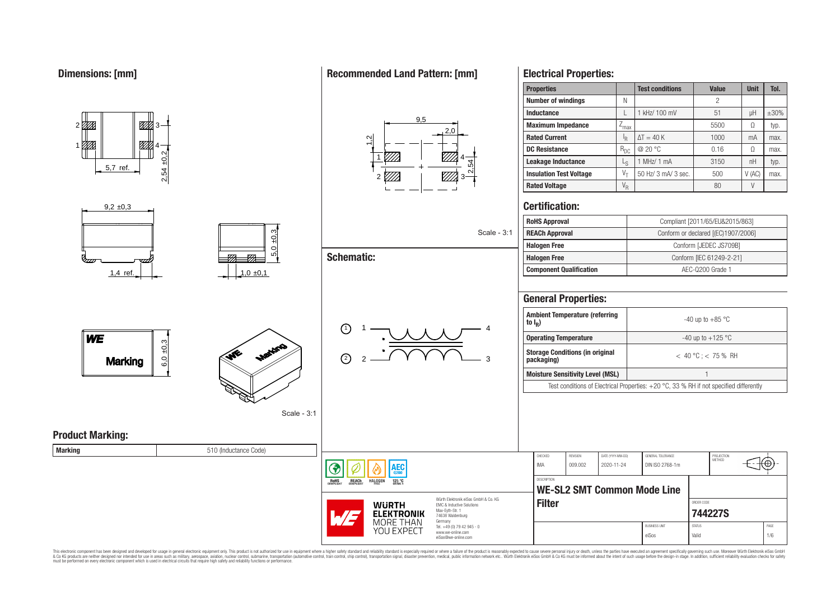80

Ø

4

1

# **Recommended Land Pattern: [mm]**



**Electrical Properties:**

**Rated Current** I I<sub>R</sub>

**Properties Test conditions Value Unit Tol.** 

**Inductance L L 1** kHz/ 100 mV **L** 51 **L** uH **L**  $\pm$ 30% **Maximum Impedance**  $\boxed{Z_{\text{max}}}$   $\boxed{}$  5500  $\boxed{ \Omega}$  typ.

**DC Resistance** RDC @ 20 °C 0.16 Ω max.

 $\Delta T = 40 \text{ K}$  1000 mA max.

**Number of windings**  $\begin{array}{ccc} & N & N \\ \end{array}$  N

| U<br>Ш                                    |                         | <u>UM</u>                                   |                                                                   |                                                     |                     | ັບບ                             |                                                                                        |                                     |        |               |
|-------------------------------------------|-------------------------|---------------------------------------------|-------------------------------------------------------------------|-----------------------------------------------------|---------------------|---------------------------------|----------------------------------------------------------------------------------------|-------------------------------------|--------|---------------|
| $\frac{5}{2}$<br>5,7 ref.                 |                         |                                             | $\overline{54}$<br>$\sim$                                         | Leakage Inductance                                  |                     | $L_S$                           | 1 MHz/ 1 mA                                                                            | 3150                                | nH     | typ.          |
| $\frac{54}{3}$<br>$\sim$                  |                         |                                             |                                                                   | <b>Insulation Test Voltage</b>                      |                     | $V_{\tau}$                      | 50 Hz/ 3 mA/ 3 sec.                                                                    | 500                                 | V (AC) | max.          |
|                                           |                         |                                             |                                                                   | <b>Rated Voltage</b>                                |                     | $\mathsf{V}_{\mathsf{R}}$       |                                                                                        | 80                                  | $\vee$ |               |
| $9,2 \pm 0,3$                             |                         |                                             |                                                                   | <b>Certification:</b>                               |                     |                                 |                                                                                        |                                     |        |               |
|                                           |                         |                                             |                                                                   | <b>RoHS Approval</b>                                |                     |                                 |                                                                                        | Compliant [2011/65/EU&2015/863]     |        |               |
|                                           | ±0.3                    |                                             | Scale - 3:1                                                       | <b>REACh Approval</b>                               |                     |                                 |                                                                                        | Conform or declared [(EC)1907/2006] |        |               |
|                                           | 0                       |                                             |                                                                   | <b>Halogen Free</b>                                 |                     |                                 |                                                                                        | Conform [JEDEC JS709B]              |        |               |
|                                           | ØÆ<br>-12               | <b>Schematic:</b>                           |                                                                   | <b>Halogen Free</b>                                 |                     |                                 |                                                                                        | Conform [IEC 61249-2-21]            |        |               |
| 1,4 ref.                                  | 1,0,0,1                 |                                             |                                                                   | <b>Component Qualification</b>                      |                     |                                 |                                                                                        | AEC-Q200 Grade 1                    |        |               |
|                                           |                         |                                             |                                                                   |                                                     |                     |                                 |                                                                                        |                                     |        |               |
|                                           |                         |                                             |                                                                   | <b>General Properties:</b>                          |                     |                                 |                                                                                        |                                     |        |               |
|                                           |                         | $\odot$                                     |                                                                   | <b>Ambient Temperature (referring</b><br>to $I_R$ ) |                     |                                 |                                                                                        | -40 up to +85 $^{\circ}$ C          |        |               |
| WE                                        |                         |                                             |                                                                   | <b>Operating Temperature</b>                        |                     |                                 |                                                                                        | -40 up to +125 $^{\circ}$ C         |        |               |
| $\frac{20}{3}$<br>6.0<br><b>Marking</b>   | Mariano<br>$\mathbf{v}$ | ②                                           | <b>Storage Conditions (in original</b><br>packaging)              |                                                     |                     | $< 40 °C$ ; < 75 % RH           |                                                                                        |                                     |        |               |
|                                           |                         |                                             |                                                                   | <b>Moisture Sensitivity Level (MSL)</b>             |                     |                                 |                                                                                        |                                     |        |               |
|                                           |                         |                                             |                                                                   |                                                     |                     |                                 | Test conditions of Electrical Properties: +20 °C, 33 % RH if not specified differently |                                     |        |               |
|                                           | Scale - 3:1             |                                             |                                                                   |                                                     |                     |                                 |                                                                                        |                                     |        |               |
| <b>Product Marking:</b><br><b>Marking</b> | 510 (Inductance Code)   |                                             |                                                                   |                                                     |                     |                                 |                                                                                        |                                     |        |               |
|                                           |                         |                                             |                                                                   | CHECKED<br><b>IMA</b>                               | REVISION<br>009.002 | DATE (YYYY-MM-DD)<br>2020-11-24 | GENERAL TOLERANCE<br>DIN ISO 2768-1m                                                   | PROJECTION<br>METHOD                |        | $\ket{\odot}$ |
|                                           |                         | <b>AEC</b><br>◈<br><b>ROHS</b><br>COMPLIANT |                                                                   |                                                     |                     |                                 |                                                                                        |                                     |        |               |
|                                           |                         |                                             |                                                                   | DESCRIPTION                                         |                     |                                 | <b>WE-SL2 SMT Common Mode Line</b>                                                     |                                     |        |               |
|                                           |                         | <b>WURTH</b>                                | Würth Elektronik eiSos GmbH & Co. KG<br>EMC & Inductive Solutions | <b>Filter</b>                                       |                     |                                 |                                                                                        | ORDER CODE                          |        |               |
|                                           |                         | <b>ELEKTRONIK</b>                           | Max-Eyth-Str. 1<br>74638 Waldenburg                               |                                                     |                     |                                 |                                                                                        | 744227S                             |        |               |
|                                           |                         | MORE THAN                                   | Germany<br>Tel. +49 (0) 79 42 945 - 0                             |                                                     |                     |                                 | <b>BUSINESS UNIT</b>                                                                   | <b>STATUS</b>                       |        | PAGE          |
|                                           |                         | YOU EXPECT                                  | www.we-online.com<br>eiSos@we-online.com                          |                                                     |                     |                                 | eiSos                                                                                  | Valid                               |        | 1/6           |

This electronic component has been designed and developed for usage in general electronic equipment only. This product is not authorized for subserved requipment where a higher selection equipment where a higher selection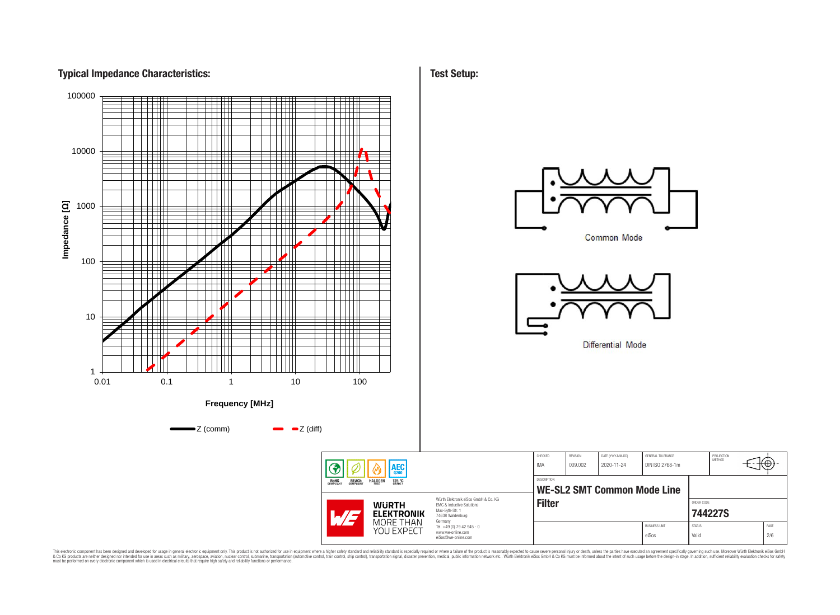# **Typical Impedance Characteristics:**



This electronic component has been designed and developed for usage in general electronic equipment only. This product is not authorized for subserved requipment where a higher selection equipment where a higher selection

**Test Setup:**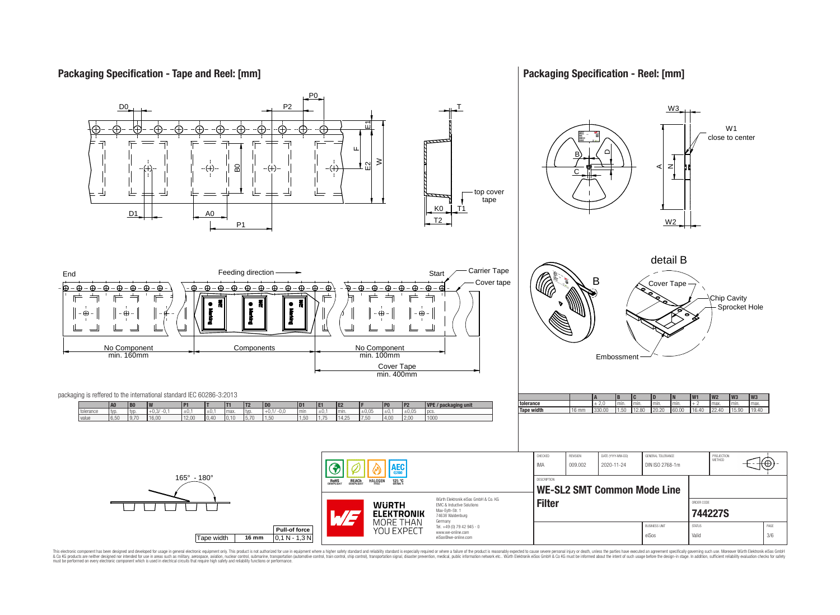# **Packaging Specification - Tape and Reel: [mm]**

# **Packaging Specification - Reel: [mm]**



This electronic component has been designed and developed for usage in general electronic equipment only. This product is not authorized for subserved requipment where a higher selection equipment where a higher selection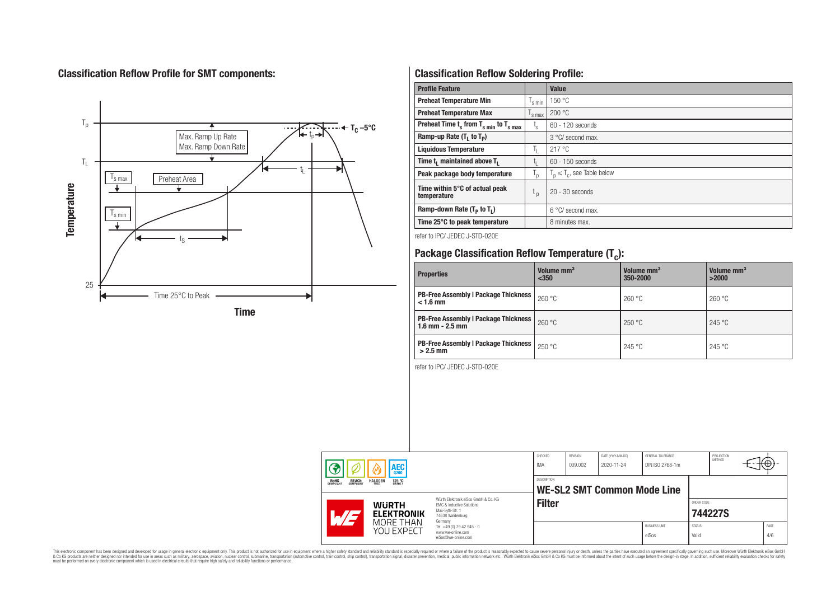# **Classification Reflow Profile for SMT components:**



# **Classification Reflow Soldering Profile:**

| <b>Profile Feature</b>                              |                    | <b>Value</b>                     |
|-----------------------------------------------------|--------------------|----------------------------------|
| <b>Preheat Temperature Min</b>                      | 's min             | 150 °C                           |
| <b>Preheat Temperature Max</b>                      | <sup>I</sup> s max | 200 °C                           |
| Preheat Time $t_s$ from $T_{s min}$ to $T_{s max}$  | t,                 | 60 - 120 seconds                 |
| Ramp-up Rate $(T_1$ to $T_p)$                       |                    | 3 °C/ second max.                |
| <b>Liquidous Temperature</b>                        | T <sub>L</sub>     | 217 °C                           |
| Time t <sub>i</sub> maintained above T <sub>1</sub> | t,                 | $60 - 150$ seconds               |
| Peak package body temperature                       | ' p                | $T_p \leq T_c$ , see Table below |
| Time within 5°C of actual peak<br>temperature       | t <sub>p</sub>     | $20 - 30$ seconds                |
| Ramp-down Rate $(T_p$ to $T_1$ )                    |                    | 6 °C/ second max.                |
| Time 25°C to peak temperature                       |                    | 8 minutes max.                   |

refer to IPC/ JEDEC J-STD-020E

# **Package Classification Reflow Temperature (T<sup>c</sup> ):**

| <b>Properties</b>                                                    | Volume mm <sup>3</sup><br>$350$ | Volume mm <sup>3</sup><br>350-2000 | Volume mm <sup>3</sup><br>>2000 |  |  |
|----------------------------------------------------------------------|---------------------------------|------------------------------------|---------------------------------|--|--|
| <b>PB-Free Assembly   Package Thickness  </b><br>$< 1.6$ mm          | 260 °C                          | 260 °C                             | 260 °C                          |  |  |
| <b>PB-Free Assembly   Package Thickness  </b><br>$1.6$ mm $- 2.5$ mm | 260 °C                          | 250 °C                             | 245 °C                          |  |  |
| <b>PB-Free Assembly   Package Thickness  </b><br>$>2.5$ mm           | 250 °C                          | 245 °C                             | 245 °C                          |  |  |

refer to IPC/ JEDEC J-STD-020E

| <b>AEC</b>                        |                                                |                                     | CHECKED<br>IMA                                                                                                      | REVISION<br>009.002 | DATE (YYYY-MM-DD)<br>2020-11-24 | GENERAL TOLERANCE<br>DIN ISO 2768-1m |                               | PROJECTION<br>METHOD   | ťΦ      |             |
|-----------------------------------|------------------------------------------------|-------------------------------------|---------------------------------------------------------------------------------------------------------------------|---------------------|---------------------------------|--------------------------------------|-------------------------------|------------------------|---------|-------------|
|                                   | <b>REACH</b><br>COMPLIANT<br>ROHS<br>COMPLIANT | <b>HALOGEN</b><br>125 °C<br>GRADE 1 |                                                                                                                     | <b>DESCRIPTION</b>  |                                 | <b>WE-SL2 SMT Common Mode Line</b>   |                               |                        |         |             |
| <b>WURTH</b><br><b>ELEKTRONIK</b> |                                                |                                     | Würth Flektronik eiSos GmbH & Co. KG<br>EMC & Inductive Solutions<br>Max-Eyth-Str. 1<br>74638 Waldenburg<br>Germany | <b>Filter</b>       |                                 |                                      |                               | ORDER CODE             | 744227S |             |
|                                   |                                                | MORE THAN<br>YOU EXPECT             | Tel. +49 (0) 79 42 945 - 0<br>www.we-online.com<br>eiSos@we-online.com                                              |                     |                                 |                                      | <b>BUSINESS UNIT</b><br>eiSos | <b>STATUS</b><br>Valid |         | PAGE<br>4/6 |

This electronic component has been designed and developed for usage in general electronic equipment only. This product is not authorized for subserved requipment where a higher selection equipment where a higher selection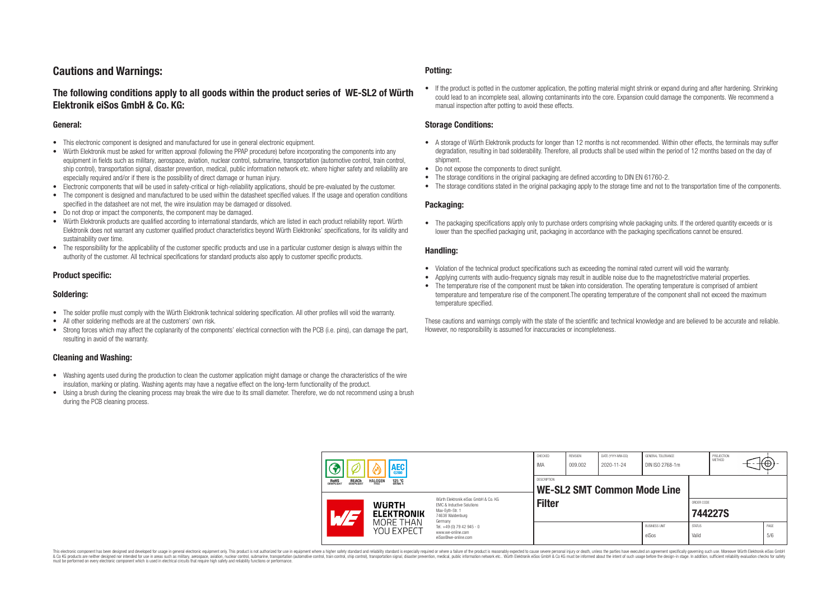# **Cautions and Warnings:**

# **The following conditions apply to all goods within the product series of WE-SL2 of Würth Elektronik eiSos GmbH & Co. KG:**

#### **General:**

- This electronic component is designed and manufactured for use in general electronic equipment.
- Würth Elektronik must be asked for written approval (following the PPAP procedure) before incorporating the components into any equipment in fields such as military, aerospace, aviation, nuclear control, submarine, transportation (automotive control, train control, ship control), transportation signal, disaster prevention, medical, public information network etc. where higher safety and reliability are especially required and/or if there is the possibility of direct damage or human injury.
- Electronic components that will be used in safety-critical or high-reliability applications, should be pre-evaluated by the customer.
- The component is designed and manufactured to be used within the datasheet specified values. If the usage and operation conditions specified in the datasheet are not met, the wire insulation may be damaged or dissolved.
- Do not drop or impact the components, the component may be damaged.
- Würth Elektronik products are qualified according to international standards, which are listed in each product reliability report. Würth Elektronik does not warrant any customer qualified product characteristics beyond Würth Elektroniks' specifications, for its validity and sustainability over time.
- The responsibility for the applicability of the customer specific products and use in a particular customer design is always within the authority of the customer. All technical specifications for standard products also apply to customer specific products.

#### **Product specific:**

#### **Soldering:**

- The solder profile must comply with the Würth Elektronik technical soldering specification. All other profiles will void the warranty.
- All other soldering methods are at the customers' own risk.
- Strong forces which may affect the coplanarity of the components' electrical connection with the PCB (i.e. pins), can damage the part, resulting in avoid of the warranty.

#### **Cleaning and Washing:**

- Washing agents used during the production to clean the customer application might damage or change the characteristics of the wire insulation, marking or plating. Washing agents may have a negative effect on the long-term functionality of the product.
- Using a brush during the cleaning process may break the wire due to its small diameter. Therefore, we do not recommend using a brush during the PCB cleaning process.

#### **Potting:**

• If the product is potted in the customer application, the potting material might shrink or expand during and after hardening. Shrinking could lead to an incomplete seal, allowing contaminants into the core. Expansion could damage the components. We recommend a manual inspection after potting to avoid these effects.

#### **Storage Conditions:**

- A storage of Würth Elektronik products for longer than 12 months is not recommended. Within other effects, the terminals may suffer degradation, resulting in bad solderability. Therefore, all products shall be used within the period of 12 months based on the day of shipment.
- Do not expose the components to direct sunlight.
- The storage conditions in the original packaging are defined according to DIN EN 61760-2.
- The storage conditions stated in the original packaging apply to the storage time and not to the transportation time of the components.

#### **Packaging:**

• The packaging specifications apply only to purchase orders comprising whole packaging units. If the ordered quantity exceeds or is lower than the specified packaging unit, packaging in accordance with the packaging specifications cannot be ensured.

#### **Handling:**

- Violation of the technical product specifications such as exceeding the nominal rated current will void the warranty.
- Applying currents with audio-frequency signals may result in audible noise due to the magnetostrictive material properties.
- The temperature rise of the component must be taken into consideration. The operating temperature is comprised of ambient temperature and temperature rise of the component.The operating temperature of the component shall not exceed the maximum temperature specified.

These cautions and warnings comply with the state of the scientific and technical knowledge and are believed to be accurate and reliable. However, no responsibility is assumed for inaccuracies or incompleteness.

| <b>AEC</b><br>0200<br><b>ROHS</b><br>COMPLIANT<br><b>REACH</b><br>COMPLIANT<br><b>HALOGEN</b><br>125 °C<br>GRADE 1 |  | CHECKED<br>IMA                                    | REVISION<br>009.002                                                                                                 | DATE (YYYY-MM-DD)<br>2020-11-24 | GENERAL TOLERANCE<br>DIN ISO 2768-1m |  | PROJECTION<br><b>METHOD</b>   | $+\oplus$              |         |  |             |
|--------------------------------------------------------------------------------------------------------------------|--|---------------------------------------------------|---------------------------------------------------------------------------------------------------------------------|---------------------------------|--------------------------------------|--|-------------------------------|------------------------|---------|--|-------------|
|                                                                                                                    |  | <b>DESCRIPTION</b><br>WE-SL2 SMT Common Mode Line |                                                                                                                     |                                 |                                      |  |                               |                        |         |  |             |
|                                                                                                                    |  | <b>WURTH</b><br><b>ELEKTRONIK</b>                 | Würth Elektronik eiSos GmbH & Co. KG<br>EMC & Inductive Solutions<br>Max-Eyth-Str. 1<br>74638 Waldenburg<br>Germany | <b>Filter</b>                   |                                      |  |                               | ORDER CODE             | 744227S |  |             |
|                                                                                                                    |  | MORE THAN<br>YOU EXPECT                           | Tel. +49 (0) 79 42 945 - 0<br>www.we-online.com<br>eiSos@we-online.com                                              |                                 |                                      |  | <b>BUSINESS UNIT</b><br>eiSos | <b>STATUS</b><br>Valid |         |  | PAGE<br>5/6 |

This electronic component has been designed and developed for usage in general electronic equipment only. This product is not authorized for use in equipment where a higher safety standard and reliability standard si espec & Ook product a label and the membed of the seasuch as marked and as which such a membed and the such assume that income in the seasuch and the simulation and the such assume that include to the such a membed and the such